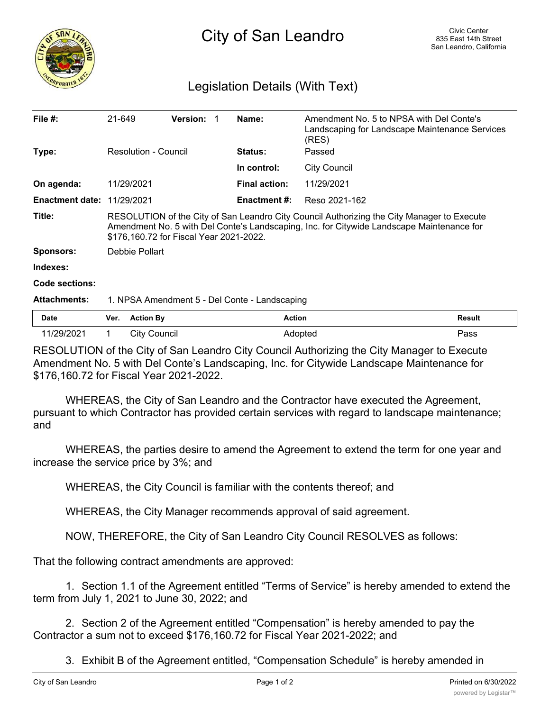

## Legislation Details (With Text)

| File $#$ :                        | 21-649                                                                                                                                                                                                                             | <b>Version:</b>     | Name:                | (RES)               | Amendment No. 5 to NPSA with Del Conte's<br>Landscaping for Landscape Maintenance Services |  |
|-----------------------------------|------------------------------------------------------------------------------------------------------------------------------------------------------------------------------------------------------------------------------------|---------------------|----------------------|---------------------|--------------------------------------------------------------------------------------------|--|
| Type:                             | Resolution - Council                                                                                                                                                                                                               |                     | <b>Status:</b>       | Passed              |                                                                                            |  |
|                                   |                                                                                                                                                                                                                                    |                     | In control:          | <b>City Council</b> |                                                                                            |  |
| On agenda:                        | 11/29/2021                                                                                                                                                                                                                         |                     | <b>Final action:</b> | 11/29/2021          |                                                                                            |  |
| <b>Enactment date: 11/29/2021</b> |                                                                                                                                                                                                                                    |                     | Enactment #:         | Reso 2021-162       |                                                                                            |  |
| Title:                            | RESOLUTION of the City of San Leandro City Council Authorizing the City Manager to Execute<br>Amendment No. 5 with Del Conte's Landscaping, Inc. for Citywide Landscape Maintenance for<br>\$176,160.72 for Fiscal Year 2021-2022. |                     |                      |                     |                                                                                            |  |
| Sponsors:                         |                                                                                                                                                                                                                                    | Debbie Pollart      |                      |                     |                                                                                            |  |
| Indexes:                          |                                                                                                                                                                                                                                    |                     |                      |                     |                                                                                            |  |
| <b>Code sections:</b>             |                                                                                                                                                                                                                                    |                     |                      |                     |                                                                                            |  |
| <b>Attachments:</b>               | 1. NPSA Amendment 5 - Del Conte - Landscaping                                                                                                                                                                                      |                     |                      |                     |                                                                                            |  |
| Date                              | Ver.                                                                                                                                                                                                                               | <b>Action By</b>    |                      | <b>Action</b>       | <b>Result</b>                                                                              |  |
| 11/29/2021                        |                                                                                                                                                                                                                                    | <b>City Council</b> |                      | Adopted             | Pass                                                                                       |  |

RESOLUTION of the City of San Leandro City Council Authorizing the City Manager to Execute Amendment No. 5 with Del Conte's Landscaping, Inc. for Citywide Landscape Maintenance for \$176,160.72 for Fiscal Year 2021-2022.

WHEREAS, the City of San Leandro and the Contractor have executed the Agreement, pursuant to which Contractor has provided certain services with regard to landscape maintenance; and

WHEREAS, the parties desire to amend the Agreement to extend the term for one year and increase the service price by 3%; and

WHEREAS, the City Council is familiar with the contents thereof; and

WHEREAS, the City Manager recommends approval of said agreement.

NOW, THEREFORE, the City of San Leandro City Council RESOLVES as follows:

That the following contract amendments are approved:

1. Section 1.1 of the Agreement entitled "Terms of Service" is hereby amended to extend the term from July 1, 2021 to June 30, 2022; and

2. Section 2 of the Agreement entitled "Compensation" is hereby amended to pay the Contractor a sum not to exceed \$176,160.72 for Fiscal Year 2021-2022; and

3. Exhibit B of the Agreement entitled, "Compensation Schedule" is hereby amended in